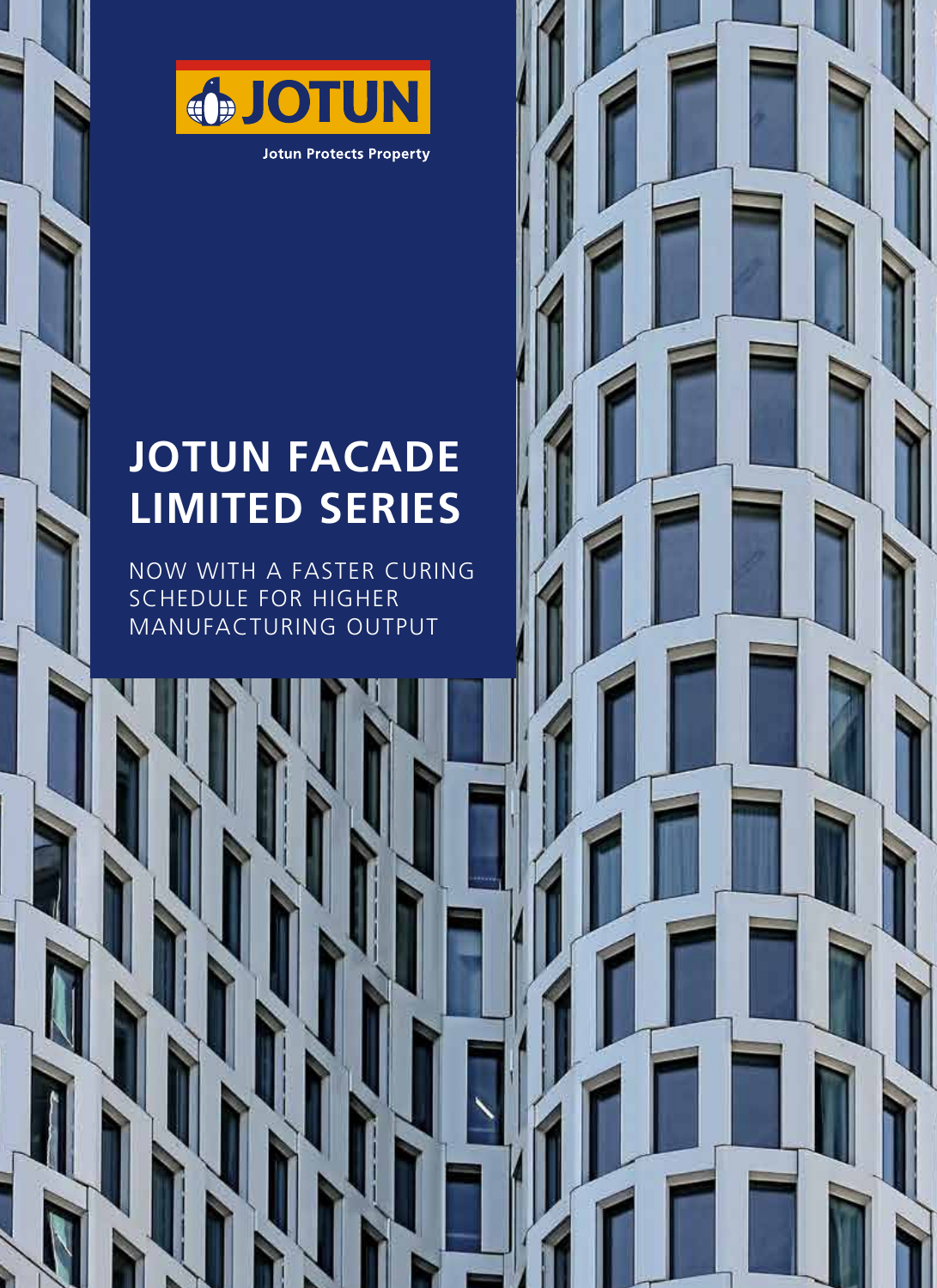

## **JOTUN FACADE LIMITED SERIES**

NOW WITH A FASTER CURING SCHEDULE FOR HIGHER MANUFACTURING OUTPUT